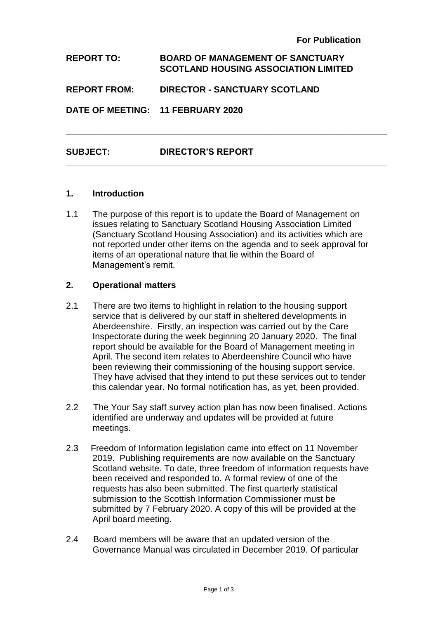| <b>REPORT TO:</b>                 | <b>BOARD OF MANAGEMENT OF SANCTUARY</b><br><b>SCOTLAND HOUSING ASSOCIATION LIMITED</b> |
|-----------------------------------|----------------------------------------------------------------------------------------|
| <b>REPORT FROM:</b>               | <b>DIRECTOR - SANCTUARY SCOTLAND</b>                                                   |
| DATE OF MEETING: 11 FEBRUARY 2020 |                                                                                        |
| <b>SUBJECT:</b>                   | <b>DIRECTOR'S REPORT</b>                                                               |

**\_\_\_\_\_\_\_\_\_\_\_\_\_\_\_\_\_\_\_\_\_\_\_\_\_\_\_\_\_\_\_\_\_\_\_\_\_\_\_\_\_\_\_\_\_\_\_\_\_\_\_\_\_\_\_\_\_\_\_\_\_\_\_\_\_**

#### **1. Introduction**

1.1 The purpose of this report is to update the Board of Management on issues relating to Sanctuary Scotland Housing Association Limited (Sanctuary Scotland Housing Association) and its activities which are not reported under other items on the agenda and to seek approval for items of an operational nature that lie within the Board of Management's remit.

#### **2. Operational matters**

- 2.1 There are two items to highlight in relation to the housing support service that is delivered by our staff in sheltered developments in Aberdeenshire. Firstly, an inspection was carried out by the Care Inspectorate during the week beginning 20 January 2020. The final report should be available for the Board of Management meeting in April. The second item relates to Aberdeenshire Council who have been reviewing their commissioning of the housing support service. They have advised that they intend to put these services out to tender this calendar year. No formal notification has, as yet, been provided.
- 2.2 The Your Say staff survey action plan has now been finalised. Actions identified are underway and updates will be provided at future meetings.
- 2.3 Freedom of Information legislation came into effect on 11 November 2019. Publishing requirements are now available on the Sanctuary Scotland website. To date, three freedom of information requests have been received and responded to. A formal review of one of the requests has also been submitted. The first quarterly statistical submission to the Scottish Information Commissioner must be submitted by 7 February 2020. A copy of this will be provided at the April board meeting.
- 2.4 Board members will be aware that an updated version of the Governance Manual was circulated in December 2019. Of particular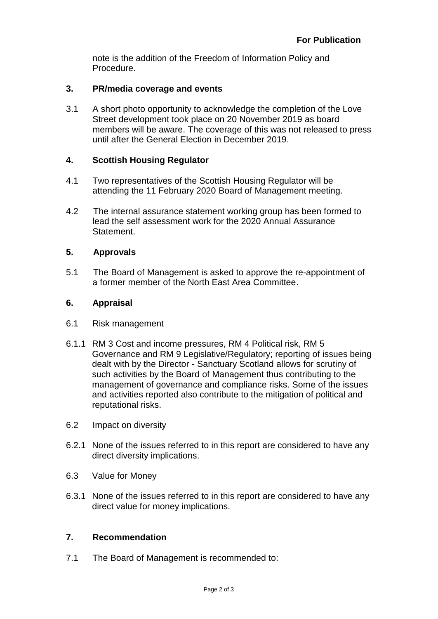note is the addition of the Freedom of Information Policy and Procedure.

## **3. PR/media coverage and events**

3.1 A short photo opportunity to acknowledge the completion of the Love Street development took place on 20 November 2019 as board members will be aware. The coverage of this was not released to press until after the General Election in December 2019.

# **4. Scottish Housing Regulator**

- 4.1 Two representatives of the Scottish Housing Regulator will be attending the 11 February 2020 Board of Management meeting.
- 4.2 The internal assurance statement working group has been formed to lead the self assessment work for the 2020 Annual Assurance **Statement**

# **5. Approvals**

5.1 The Board of Management is asked to approve the re-appointment of a former member of the North East Area Committee.

## **6. Appraisal**

- 6.1 Risk management
- 6.1.1 RM 3 Cost and income pressures, RM 4 Political risk, RM 5 Governance and RM 9 Legislative/Regulatory; reporting of issues being dealt with by the Director - Sanctuary Scotland allows for scrutiny of such activities by the Board of Management thus contributing to the management of governance and compliance risks. Some of the issues and activities reported also contribute to the mitigation of political and reputational risks.
- 6.2 Impact on diversity
- 6.2.1 None of the issues referred to in this report are considered to have any direct diversity implications.
- 6.3 Value for Money
- 6.3.1 None of the issues referred to in this report are considered to have any direct value for money implications.

## **7. Recommendation**

7.1 The Board of Management is recommended to: